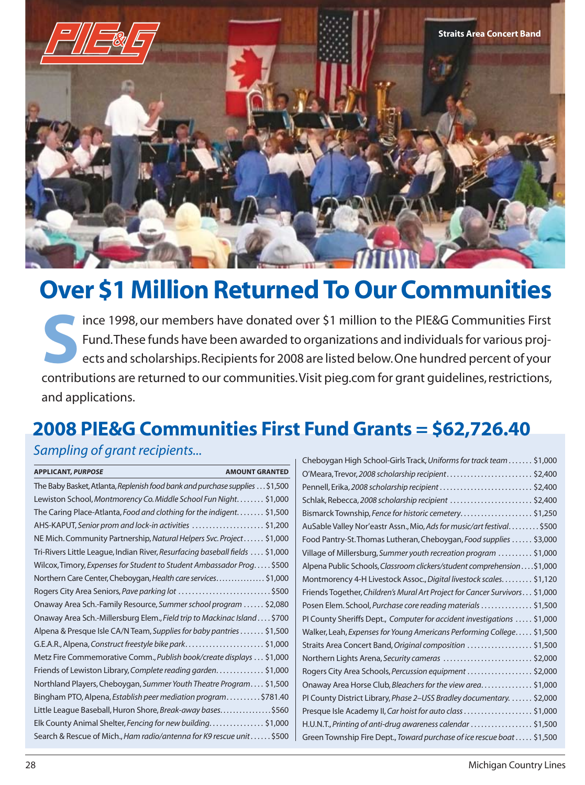

# **Over \$1 Million Returned To Our Communities**

 contributions are returned to our communities.Visit pieg.com for grant guidelines, restrictions, **S**ince 1998, our members have donated over \$1 million to the PIE&G Communities First Fund.These funds have been awarded to organizations and individuals for various projects and scholarships.Recipients for 2008 are listed below.One hundred percent of your and applications.

## **2008 PIE&G Communities First Fund Grants = \$62,726.40**

### *Sampling of grant recipients...*

| <b>APPLICANT, PURPOSE</b><br><b>AMOUNT GRANTED</b>                           |  |
|------------------------------------------------------------------------------|--|
| The Baby Basket, Atlanta, Replenish food bank and purchase supplies \$1,500  |  |
| Lewiston School, Montmorency Co. Middle School Fun Night \$1,000             |  |
| The Caring Place-Atlanta, Food and clothing for the indigent \$1,500         |  |
| AHS-KAPUT, Senior prom and lock-in activities \$1,200                        |  |
| NE Mich. Community Partnership, Natural Helpers Svc. Project \$1,000         |  |
| Tri-Rivers Little League, Indian River, Resurfacing baseball fields  \$1,000 |  |
| Wilcox, Timory, Expenses for Student to Student Ambassador Prog \$500        |  |
| Northern Care Center, Cheboygan, Health care services \$1,000                |  |
| Rogers City Area Seniors, Pave parking lot \$500                             |  |
| Onaway Area Sch.-Family Resource, Summer school program  \$2,080             |  |
| Onaway Area Sch.-Millersburg Elem., Field trip to Mackinac Island \$700      |  |
| Alpena & Presque Isle CA/N Team, Supplies for baby pantries \$1,500          |  |
| G.E.A.R., Alpena, Construct freestyle bike park\$1,000                       |  |
| Metz Fire Commemorative Comm., Publish book/create displays \$1,000          |  |
| Friends of Lewiston Library, Complete reading garden \$1,000                 |  |
| Northland Players, Cheboygan, Summer Youth Theatre Program \$1,500           |  |
| Bingham PTO, Alpena, Establish peer mediation program\$781.40                |  |
| Little League Baseball, Huron Shore, Break-away bases\$560                   |  |
| Elk County Animal Shelter, Fencing for new building\$1,000                   |  |
| Search & Rescue of Mich., Ham radio/antenna for K9 rescue unit  \$500        |  |
|                                                                              |  |